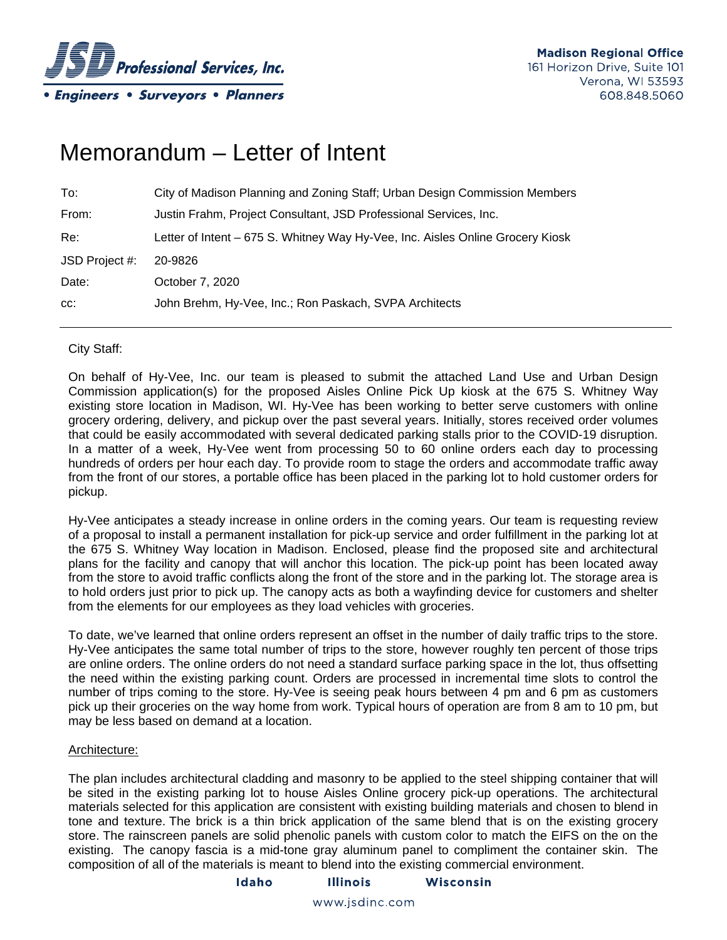

# Memorandum – Letter of Intent

| To:            | City of Madison Planning and Zoning Staff; Urban Design Commission Members     |
|----------------|--------------------------------------------------------------------------------|
| From:          | Justin Frahm, Project Consultant, JSD Professional Services, Inc.              |
| Re:            | Letter of Intent - 675 S. Whitney Way Hy-Vee, Inc. Aisles Online Grocery Kiosk |
| JSD Project #: | 20-9826                                                                        |
| Date:          | October 7, 2020                                                                |
| CC:            | John Brehm, Hy-Vee, Inc.; Ron Paskach, SVPA Architects                         |

# City Staff:

On behalf of Hy-Vee, Inc. our team is pleased to submit the attached Land Use and Urban Design Commission application(s) for the proposed Aisles Online Pick Up kiosk at the 675 S. Whitney Way existing store location in Madison, WI. Hy-Vee has been working to better serve customers with online grocery ordering, delivery, and pickup over the past several years. Initially, stores received order volumes that could be easily accommodated with several dedicated parking stalls prior to the COVID-19 disruption. In a matter of a week, Hy-Vee went from processing 50 to 60 online orders each day to processing hundreds of orders per hour each day. To provide room to stage the orders and accommodate traffic away from the front of our stores, a portable office has been placed in the parking lot to hold customer orders for pickup.

Hy-Vee anticipates a steady increase in online orders in the coming years. Our team is requesting review of a proposal to install a permanent installation for pick-up service and order fulfillment in the parking lot at the 675 S. Whitney Way location in Madison. Enclosed, please find the proposed site and architectural plans for the facility and canopy that will anchor this location. The pick-up point has been located away from the store to avoid traffic conflicts along the front of the store and in the parking lot. The storage area is to hold orders just prior to pick up. The canopy acts as both a wayfinding device for customers and shelter from the elements for our employees as they load vehicles with groceries.

To date, we've learned that online orders represent an offset in the number of daily traffic trips to the store. Hy-Vee anticipates the same total number of trips to the store, however roughly ten percent of those trips are online orders. The online orders do not need a standard surface parking space in the lot, thus offsetting the need within the existing parking count. Orders are processed in incremental time slots to control the number of trips coming to the store. Hy-Vee is seeing peak hours between 4 pm and 6 pm as customers pick up their groceries on the way home from work. Typical hours of operation are from 8 am to 10 pm, but may be less based on demand at a location.

### Architecture:

The plan includes architectural cladding and masonry to be applied to the steel shipping container that will be sited in the existing parking lot to house Aisles Online grocery pick-up operations. The architectural materials selected for this application are consistent with existing building materials and chosen to blend in tone and texture. The brick is a thin brick application of the same blend that is on the existing grocery store. The rainscreen panels are solid phenolic panels with custom color to match the EIFS on the on the existing. The canopy fascia is a mid-tone gray aluminum panel to compliment the container skin. The composition of all of the materials is meant to blend into the existing commercial environment.